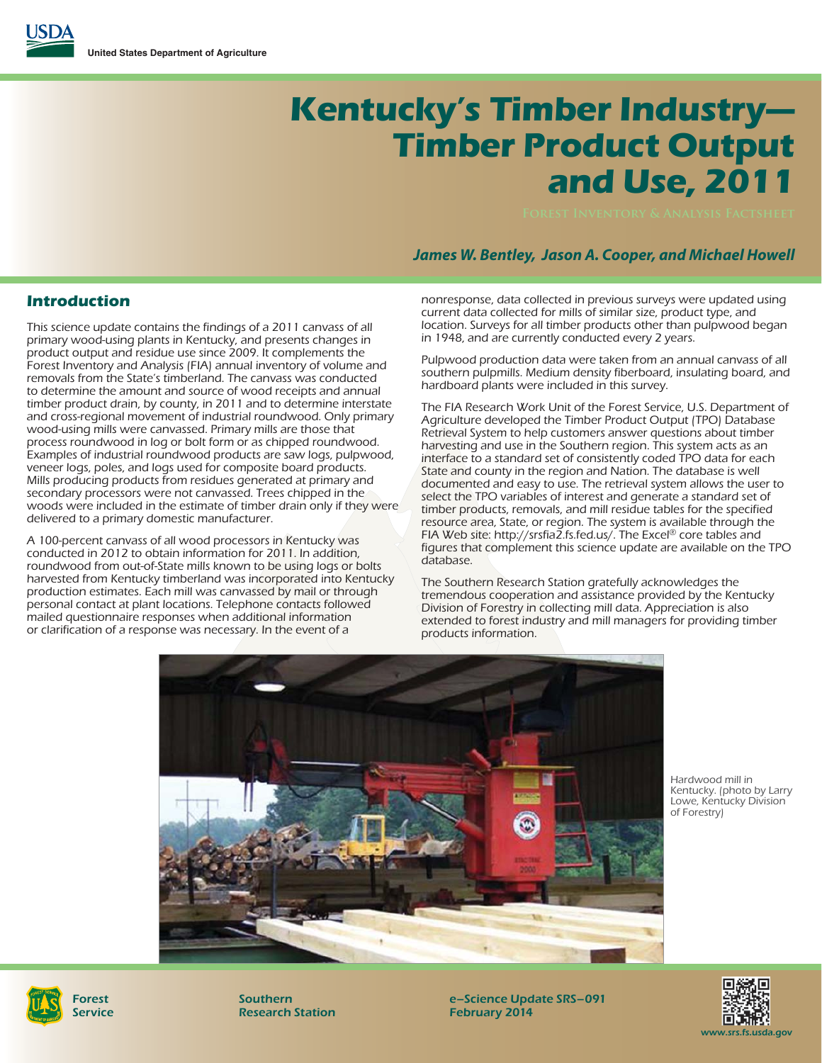# **Kentucky's Timber Industry— Timber Product Output and Use, 2011**

## *James W. Bentley, Jason A. Cooper, and Michael Howell*

#### **Introduction**

This science update contains the findings of a 2011 canvass of all primary wood-using plants in Kentucky, and presents changes in product output and residue use since 2009. It complements the Forest Inventory and Analysis (FIA) annual inventory of volume and removals from the State's timberland. The canvass was conducted to determine the amount and source of wood receipts and annual timber product drain, by county, in 2011 and to determine interstate and cross-regional movement of industrial roundwood. Only primary wood-using mills were canvassed. Primary mills are those that process roundwood in log or bolt form or as chipped roundwood. Examples of industrial roundwood products are saw logs, pulpwood, veneer logs, poles, and logs used for composite board products. Mills producing products from residues generated at primary and secondary processors were not canvassed. Trees chipped in the woods were included in the estimate of timber drain only if they were delivered to a primary domestic manufacturer.

A 100-percent canvass of all wood processors in Kentucky was conducted in 2012 to obtain information for 2011. In addition, roundwood from out-of-State mills known to be using logs or bolts harvested from Kentucky timberland was incorporated into Kentucky production estimates. Each mill was canvassed by mail or through personal contact at plant locations. Telephone contacts followed mailed questionnaire responses when additional information or clarification of a response was necessary. In the event of a

nonresponse, data collected in previous surveys were updated using current data collected for mills of similar size, product type, and location. Surveys for all timber products other than pulpwood began in 1948, and are currently conducted every 2 years.

Pulpwood production data were taken from an annual canvass of all southern pulpmills. Medium density fiberboard, insulating board, and hardboard plants were included in this survey.

The FIA Research Work Unit of the Forest Service, U.S. Department of Agriculture developed the Timber Product Output (TPO) Database Retrieval System to help customers answer questions about timber harvesting and use in the Southern region. This system acts as an interface to a standard set of consistently coded TPO data for each State and county in the region and Nation. The database is well documented and easy to use. The retrieval system allows the user to select the TPO variables of interest and generate a standard set of timber products, removals, and mill residue tables for the specified resource area, State, or region. The system is available through the FIA Web site: http://srsfia2.fs.fed.us/. The Excel® core tables and figures that complement this science update are available on the TPO database.

The Southern Research Station gratefully acknowledges the tremendous cooperation and assistance provided by the Kentucky Division of Forestry in collecting mill data. Appreciation is also extended to forest industry and mill managers for providing timber products information.



Hardwood mill in Kentucky. (photo by Larry Lowe, Kentucky Division of Forestry)



Southern Research Station e–Science Update SRS–091 February 2014

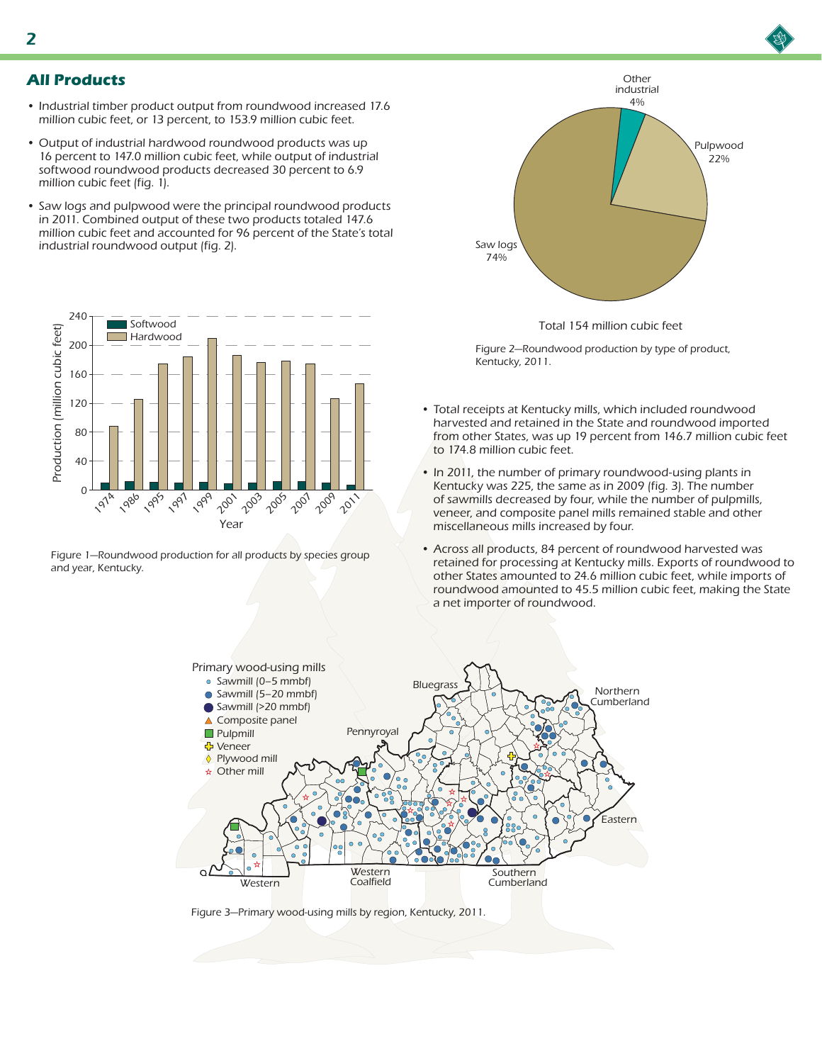- Industrial timber product output from roundwood increased 17.6 million cubic feet, or 13 percent, to 153.9 million cubic feet.
- Output of industrial hardwood roundwood products was up 16 percent to 147.0 million cubic feet, while output of industrial softwood roundwood products decreased 30 percent to 6.9 million cubic feet (fig. 1).
- Saw logs and pulpwood were the principal roundwood products in 2011. Combined output of these two products totaled 147.6 million cubic feet and accounted for 96 percent of the State's total industrial roundwood output (fig. 2).



Figure 1—Roundwood production for all products by species group and year, Kentucky.



Total 154 million cubic feet

Figure 2—Roundwood production by type of product, Kentucky, 2011.

- Total receipts at Kentucky mills, which included roundwood harvested and retained in the State and roundwood imported from other States, was up 19 percent from 146.7 million cubic feet to 174.8 million cubic feet.
- In 2011, the number of primary roundwood-using plants in Kentucky was 225, the same as in 2009 (fig. 3). The number of sawmills decreased by four, while the number of pulpmills, veneer, and composite panel mills remained stable and other miscellaneous mills increased by four.
- Across all products, 84 percent of roundwood harvested was retained for processing at Kentucky mills. Exports of roundwood to other States amounted to 24.6 million cubic feet, while imports of roundwood amounted to 45.5 million cubic feet, making the State a net importer of roundwood.



Figure 3—Primary wood-using mills by region, Kentucky, 2011.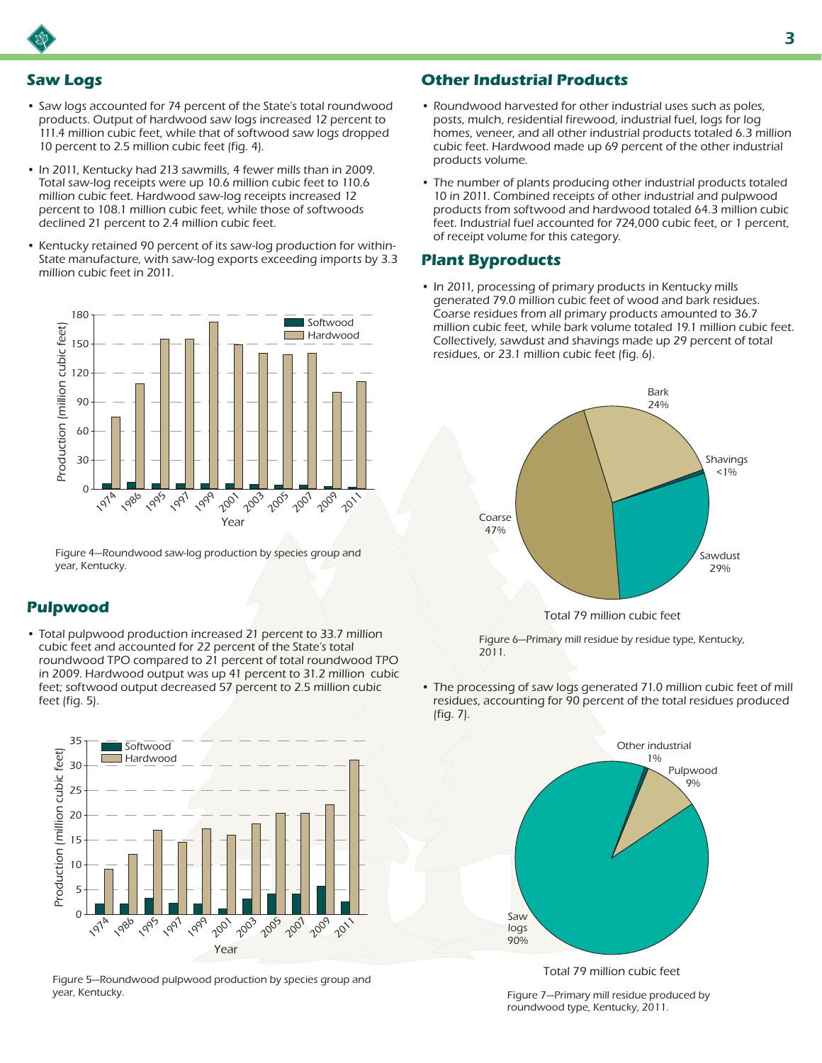# **Saw Logs**

- Saw logs accounted for 74 percent of the State's total roundwood products. Output of hardwood saw logs increased 12 percent to 111.4 million cubic feet, while that of softwood saw logs dropped 10 percent to 2.5 million cubic feet (fig. 4).
- In 2011, Kentucky had 213 sawmills, 4 fewer mills than in 2009. Total saw-log receipts were up 10.6 million cubic feet to 110.6 million cubic feet. Hardwood saw-log receipts increased 12 percent to 108.1 million cubic feet, while those of softwoods declined 21 percent to 2.4 million cubic feet.
- Kentucky retained 90 percent of its saw-log production for within-State manufacture, with saw-log exports exceeding imports by 3.3 million cubic feet in 2011.



Figure 4—Roundwood saw-log production by species group and year, Kentucky.

# **Pulpwood**

• Total pulpwood production increased 21 percent to 33.7 million cubic feet and accounted for 22 percent of the State's total roundwood TPO compared to 21 percent of total roundwood TPO in 2009. Hardwood output was up 41 percent to 31.2 million cubic feet; softwood output decreased 57 percent to 2.5 million cubic feet (fig. 5).



Figure 5—Roundwood pulpwood production by species group and year, Kentucky.

### **Other Industrial Products**

- Roundwood harvested for other industrial uses such as poles, posts, mulch, residential firewood, industrial fuel, logs for log homes, veneer, and all other industrial products totaled 6.3 million cubic feet. Hardwood made up 69 percent of the other industrial products volume.
- The number of plants producing other industrial products totaled 10 in 2011. Combined receipts of other industrial and pulpwood products from softwood and hardwood totaled 64.3 million cubic feet. Industrial fuel accounted for 724,000 cubic feet, or 1 percent, of receipt volume for this category.

#### **Plant Byproducts**

• In 2011, processing of primary products in Kentucky mills generated 79.0 million cubic feet of wood and bark residues. Coarse residues from all primary products amounted to 36.7 million cubic feet, while bark volume totaled 19.1 million cubic feet. Collectively, sawdust and shavings made up 29 percent of total residues, or 23.1 million cubic feet (fig. 6).



Total 79 million cubic feet

Figure 6—Primary mill residue by residue type, Kentucky, 2011.

• The processing of saw logs generated 71.0 million cubic feet of mill residues, accounting for 90 percent of the total residues produced (fig. 7).



Total 79 million cubic feet

Figure 7—Primary mill residue produced by roundwood type, Kentucky, 2011.